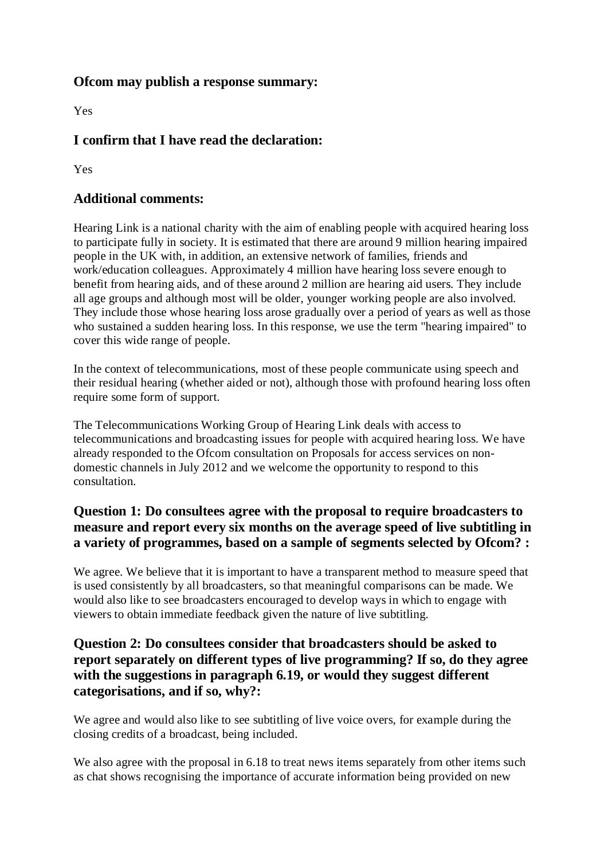#### **Ofcom may publish a response summary:**

Yes

# **I confirm that I have read the declaration:**

Yes

#### **Additional comments:**

Hearing Link is a national charity with the aim of enabling people with acquired hearing loss to participate fully in society. It is estimated that there are around 9 million hearing impaired people in the UK with, in addition, an extensive network of families, friends and work/education colleagues. Approximately 4 million have hearing loss severe enough to benefit from hearing aids, and of these around 2 million are hearing aid users. They include all age groups and although most will be older, younger working people are also involved. They include those whose hearing loss arose gradually over a period of years as well as those who sustained a sudden hearing loss. In this response, we use the term "hearing impaired" to cover this wide range of people.

In the context of telecommunications, most of these people communicate using speech and their residual hearing (whether aided or not), although those with profound hearing loss often require some form of support.

The Telecommunications Working Group of Hearing Link deals with access to telecommunications and broadcasting issues for people with acquired hearing loss. We have already responded to the Ofcom consultation on Proposals for access services on nondomestic channels in July 2012 and we welcome the opportunity to respond to this consultation.

## **Question 1: Do consultees agree with the proposal to require broadcasters to measure and report every six months on the average speed of live subtitling in a variety of programmes, based on a sample of segments selected by Ofcom? :**

We agree. We believe that it is important to have a transparent method to measure speed that is used consistently by all broadcasters, so that meaningful comparisons can be made. We would also like to see broadcasters encouraged to develop ways in which to engage with viewers to obtain immediate feedback given the nature of live subtitling.

## **Question 2: Do consultees consider that broadcasters should be asked to report separately on different types of live programming? If so, do they agree with the suggestions in paragraph 6.19, or would they suggest different categorisations, and if so, why?:**

We agree and would also like to see subtitling of live voice overs, for example during the closing credits of a broadcast, being included.

We also agree with the proposal in 6.18 to treat news items separately from other items such as chat shows recognising the importance of accurate information being provided on new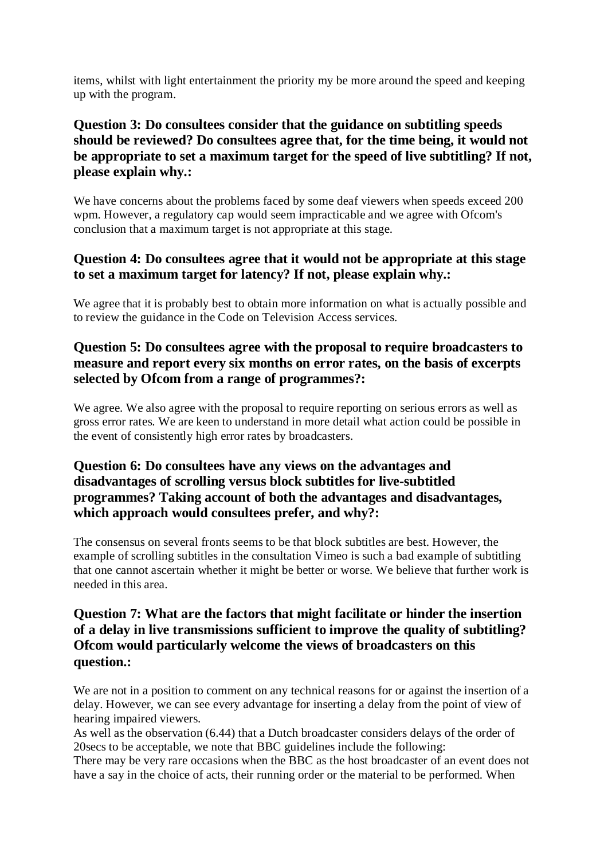items, whilst with light entertainment the priority my be more around the speed and keeping up with the program.

## **Question 3: Do consultees consider that the guidance on subtitling speeds should be reviewed? Do consultees agree that, for the time being, it would not be appropriate to set a maximum target for the speed of live subtitling? If not, please explain why.:**

We have concerns about the problems faced by some deaf viewers when speeds exceed 200 wpm. However, a regulatory cap would seem impracticable and we agree with Ofcom's conclusion that a maximum target is not appropriate at this stage.

#### **Question 4: Do consultees agree that it would not be appropriate at this stage to set a maximum target for latency? If not, please explain why.:**

We agree that it is probably best to obtain more information on what is actually possible and to review the guidance in the Code on Television Access services.

## **Question 5: Do consultees agree with the proposal to require broadcasters to measure and report every six months on error rates, on the basis of excerpts selected by Ofcom from a range of programmes?:**

We agree. We also agree with the proposal to require reporting on serious errors as well as gross error rates. We are keen to understand in more detail what action could be possible in the event of consistently high error rates by broadcasters.

## **Question 6: Do consultees have any views on the advantages and disadvantages of scrolling versus block subtitles for live-subtitled programmes? Taking account of both the advantages and disadvantages, which approach would consultees prefer, and why?:**

The consensus on several fronts seems to be that block subtitles are best. However, the example of scrolling subtitles in the consultation Vimeo is such a bad example of subtitling that one cannot ascertain whether it might be better or worse. We believe that further work is needed in this area.

## **Question 7: What are the factors that might facilitate or hinder the insertion of a delay in live transmissions sufficient to improve the quality of subtitling? Ofcom would particularly welcome the views of broadcasters on this question.:**

We are not in a position to comment on any technical reasons for or against the insertion of a delay. However, we can see every advantage for inserting a delay from the point of view of hearing impaired viewers.

As well as the observation (6.44) that a Dutch broadcaster considers delays of the order of 20secs to be acceptable, we note that BBC guidelines include the following:

There may be very rare occasions when the BBC as the host broadcaster of an event does not have a say in the choice of acts, their running order or the material to be performed. When